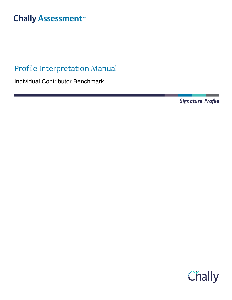# **Chally Assessment**

## Profile Interpretation Manual

Individual Contributor Benchmark

Signature Profile

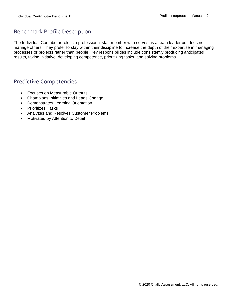## Benchmark Profile Description

The Individual Contributor role is a professional staff member who serves as a team leader but does not manage others. They prefer to stay within their discipline to increase the depth of their expertise in managing processes or projects rather than people. Key responsibilities include consistently producing anticipated results, taking initiative, developing competence, prioritizing tasks, and solving problems.

## Predictive Competencies

- Focuses on Measurable Outputs
- Champions Initiatives and Leads Change
- Demonstrates Learning Orientation
- Prioritizes Tasks
- Analyzes and Resolves Customer Problems
- Motivated by Attention to Detail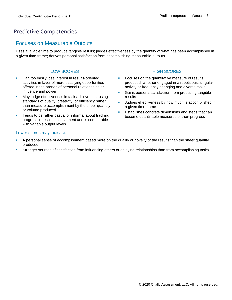## Predictive Competencies

#### Focuses on Measurable Outputs

Uses available time to produce tangible results; judges effectiveness by the quantity of what has been accomplished in a given time frame; derives personal satisfaction from accomplishing measurable outputs

|   | <b>LOW SCORES</b>                                                                                                                                                                     | <b>HIGH SCORES</b>                                                                                                                                          |
|---|---------------------------------------------------------------------------------------------------------------------------------------------------------------------------------------|-------------------------------------------------------------------------------------------------------------------------------------------------------------|
| × | Can too easily lose interest in results-oriented<br>activities in favor of more satisfying opportunities<br>offered in the arenas of personal relationships or<br>influence and power | Focuses on the quantitative measure of results<br>produced, whether engaged in a repetitious, singular<br>activity or frequently changing and diverse tasks |
| ш | May judge effectiveness in task achievement using<br>standards of quality, creativity, or efficiency rather<br>than measure accomplishment by the sheer quantity                      | Gains personal satisfaction from producing tangible<br>results<br>Judges effectiveness by how much is accomplished in<br>ш<br>a given time frame            |
| ш | or volume produced<br>Tends to be rather casual or informal about tracking<br>progress in results achievement and is comfortable<br>with variable output levels                       | Establishes concrete dimensions and steps that can<br>become quantifiable measures of their progress                                                        |

- A personal sense of accomplishment based more on the quality or novelty of the results than the sheer quantity produced
- **EXTED Stronger sources of satisfaction from influencing others or enjoying relationships than from accomplishing tasks**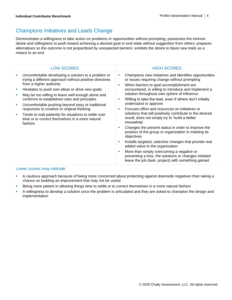## Champions Initiatives and Leads Change

Demonstrates a willingness to take action on problems or opportunities without prompting; possesses the intrinsic desire and willingness to push toward achieving a desired goal or end-state without suggestion from others; prepares alternatives so the outcome is not jeopardized by unexpected barriers; exhibits the desire to blaze new trails as a means to an end

| <b>LOW SCORES</b>                                                                                                                                                                                                                                                                                                                                                                                                                                                                                                                                      | <b>HIGH SCORES</b>                                                                                                                                                                                                                                                                                                                                                                                                                                                                                                                                                                                                                                                                                                                                                                                                                                                                                                 |
|--------------------------------------------------------------------------------------------------------------------------------------------------------------------------------------------------------------------------------------------------------------------------------------------------------------------------------------------------------------------------------------------------------------------------------------------------------------------------------------------------------------------------------------------------------|--------------------------------------------------------------------------------------------------------------------------------------------------------------------------------------------------------------------------------------------------------------------------------------------------------------------------------------------------------------------------------------------------------------------------------------------------------------------------------------------------------------------------------------------------------------------------------------------------------------------------------------------------------------------------------------------------------------------------------------------------------------------------------------------------------------------------------------------------------------------------------------------------------------------|
| Uncomfortable developing a solution to a problem or<br>I.<br>trying a different approach without positive directives<br>from a higher authority<br>Hesitates to push own ideas or drive new goals<br>U,<br>May be too willing to leave well enough alone and<br>×<br>conforms to established rules and principles<br>Uncomfortable pushing beyond easy or traditional<br>L,<br>responses to creative or original thinking<br>Tends to wait patiently for situations to settle over<br>Ì,<br>time or to correct themselves in a more natural<br>fashion | Champions new initiatives and identifies opportunities<br>or issues requiring change without prompting<br>When barriers to goal accomplishment are<br>encountered, is willing to introduce and implement a<br>solution throughout own sphere of influence<br>Willing to take the lead, even if others don't initially<br>understand or approve<br>Focuses effort and resources on initiatives or<br>solutions that will positively contribute to the desired<br>result; does not simply try to 'build a better<br>mousetrap'<br>Changes the present status in order to improve the<br>position of the group or organization in meeting its<br>objectives<br>Installs targeted, selective changes that provide real<br>added value to the organization<br>More than simply overcoming a negative or<br>preventing a loss, the solutions or changes initiated<br>leave the job (task, project) with something gained |
| Lower coerce may indicate.                                                                                                                                                                                                                                                                                                                                                                                                                                                                                                                             |                                                                                                                                                                                                                                                                                                                                                                                                                                                                                                                                                                                                                                                                                                                                                                                                                                                                                                                    |

- A cautious approach because of being more concerned about protecting against downside negatives than taking a chance on building an improvement that may not be useful
- **EXECT** Being more patient in allowing things time to settle or to correct themselves in a more natural fashion
- A willingness to develop a solution once the problem is articulated and they are asked to champion the design and implementation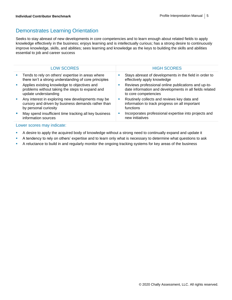### Demonstrates Learning Orientation

Seeks to stay abreast of new developments in core competencies and to learn enough about related fields to apply knowledge effectively in the business; enjoys learning and is intellectually curious; has a strong desire to continuously improve knowledge, skills, and abilities; sees learning and knowledge as the keys to building the skills and abilities essential to job and career success

|    | <b>LOW SCORES</b>                                                                                                                | <b>HIGH SCORES</b>                                                                                                                     |
|----|----------------------------------------------------------------------------------------------------------------------------------|----------------------------------------------------------------------------------------------------------------------------------------|
| ×  | Tends to rely on others' expertise in areas where<br>there isn't a strong understanding of core principles                       | Stays abreast of developments in the field in order to<br>effectively apply knowledge                                                  |
| ×  | Applies existing knowledge to objectives and<br>problems without taking the steps to expand and<br>update understanding          | Reviews professional online publications and up-to-<br>date information and developments in all fields related<br>to core competencies |
| ш  | Any interest in exploring new developments may be<br>cursory and driven by business demands rather than<br>by personal curiosity | Routinely collects and reviews key data and<br>information to track progress on all important<br>functions                             |
| u, | May spend insufficient time tracking all key business<br>information sources                                                     | Incorporates professional expertise into projects and<br>new initiatives                                                               |

- A desire to apply the acquired body of knowledge without a strong need to continually expand and update it
- **EXECT** A tendency to rely on others' expertise and to learn only what is necessary to determine what questions to ask
- **EXT** A reluctance to build in and regularly monitor the ongoing tracking systems for key areas of the business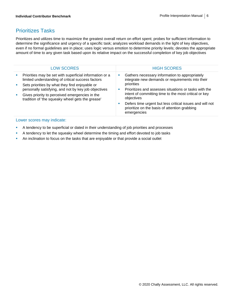#### Prioritizes Tasks

Prioritizes and utilizes time to maximize the greatest overall return on effort spent; probes for sufficient information to determine the significance and urgency of a specific task; analyzes workload demands in the light of key objectives, even if no formal guidelines are in place; uses logic versus emotion to determine priority levels; devotes the appropriate amount of time to any given task based upon its relative impact on the successful completion of key job objectives

| <b>LOW SCORES</b>                                                                                                                                                                                            | <b>HIGH SCORES</b>                                                                                                                                                                                                                                                                          |
|--------------------------------------------------------------------------------------------------------------------------------------------------------------------------------------------------------------|---------------------------------------------------------------------------------------------------------------------------------------------------------------------------------------------------------------------------------------------------------------------------------------------|
| Priorities may be set with superficial information or a<br>limited understanding of critical success factors                                                                                                 | Gathers necessary information to appropriately<br>ш<br>integrate new demands or requirements into their                                                                                                                                                                                     |
| Sets priorities by what they find enjoyable or<br>personally satisfying, and not by key job objectives<br>Gives priority to perceived emergencies in the<br>tradition of 'the squeaky wheel gets the grease' | priorities<br>Prioritizes and assesses situations or tasks with the<br><b>CONTRACTOR</b><br>intent of committing time to the most critical or key<br>objectives<br>Defers time urgent but less critical issues and will not<br>prioritize on the basis of attention grabbing<br>emergencies |

- **•** A tendency to be superficial or dated in their understanding of job priorities and processes
- **EXECT** A tendency to let the squeaky wheel determine the timing and effort devoted to job tasks
- **•** An inclination to focus on the tasks that are enjoyable or that provide a social outlet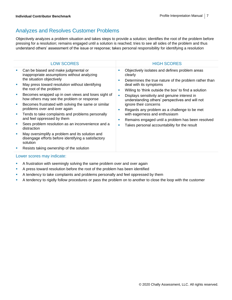## Analyzes and Resolves Customer Problems

Objectively analyzes a problem situation and takes steps to provide a solution; identifies the root of the problem before pressing for a resolution; remains engaged until a solution is reached; tries to see all sides of the problem and thus understand others' assessment of the issue or response; takes personal responsibility for identifying a resolution

| <b>LOW SCORES</b>                                                                                                                                                                                                                                                                                                                                                                                                                                                                                                                                                                                                                                                                                                 |                            | <b>HIGH SCORES</b>                                                                                                                                                                                                                                                                                                                                                                                                                                                                                                      |
|-------------------------------------------------------------------------------------------------------------------------------------------------------------------------------------------------------------------------------------------------------------------------------------------------------------------------------------------------------------------------------------------------------------------------------------------------------------------------------------------------------------------------------------------------------------------------------------------------------------------------------------------------------------------------------------------------------------------|----------------------------|-------------------------------------------------------------------------------------------------------------------------------------------------------------------------------------------------------------------------------------------------------------------------------------------------------------------------------------------------------------------------------------------------------------------------------------------------------------------------------------------------------------------------|
| Can be biased and make judgmental or<br>inappropriate assumptions without analyzing<br>the situation objectively<br>May press toward resolution without identifying<br>the root of the problem<br>Becomes wrapped up in own views and loses sight of<br>how others may see the problem or response<br>Becomes frustrated with solving the same or similar<br>problems over and over again<br>Tends to take complaints and problems personally<br>and feel oppressed by them<br>Sees problem resolution as an inconvenience and a<br>distraction<br>May oversimplify a problem and its solution and<br>disengage efforts before identifying a satisfactory<br>solution<br>Resists taking ownership of the solution | ш<br>п<br>п<br>×<br>п<br>п | Objectively isolates and defines problem areas<br>clearly<br>Determines the true nature of the problem rather than<br>deal with its symptoms<br>Willing to 'think outside the box' to find a solution<br>Displays sensitivity and genuine interest in<br>understanding others' perspectives and will not<br>ignore their concerns<br>Regards any problem as a challenge to be met<br>with eagerness and enthusiasm<br>Remains engaged until a problem has been resolved<br>Takes personal accountability for the result |
|                                                                                                                                                                                                                                                                                                                                                                                                                                                                                                                                                                                                                                                                                                                   |                            |                                                                                                                                                                                                                                                                                                                                                                                                                                                                                                                         |

- **EXED A frustration with seemingly solving the same problem over and over again**
- **EXECT** A press toward resolution before the root of the problem has been identified
- **•** A tendency to take complaints and problems personally and feel oppressed by them
- **•** A tendency to rigidly follow procedures or pass the problem on to another to close the loop with the customer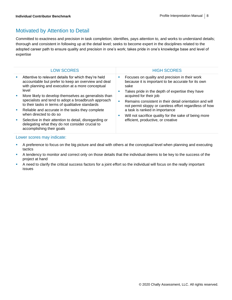### Motivated by Attention to Detail

Committed to exactness and precision in task completion; identifies, pays attention to, and works to understand details; thorough and consistent in following up at the detail level; seeks to become expert in the disciplines related to the adopted career path to ensure quality and precision in one's work; takes pride in one's knowledge base and level of expertise

| <b>LOW SCORES</b>                                                                                                                                                                                                                             | <b>HIGH SCORES</b>                                                                                                                                                                 |
|-----------------------------------------------------------------------------------------------------------------------------------------------------------------------------------------------------------------------------------------------|------------------------------------------------------------------------------------------------------------------------------------------------------------------------------------|
| Attentive to relevant details for which they're held<br>×<br>accountable but prefer to keep an overview and deal<br>with planning and execution at a more conceptual<br>level                                                                 | Focuses on quality and precision in their work<br><b>SIL</b><br>because it is important to be accurate for its own<br>sake<br>Takes pride in the depth of expertise they have<br>ш |
| More likely to develop themselves as generalists than<br>$\mathcal{L}_{\mathcal{A}}$<br>specialists and tend to adopt a broadbrush approach<br>to their tasks in terms of qualitative standards                                               | acquired for their job<br>Remains consistent in their detail orientation and will<br>٠<br>not permit sloppy or careless effort regardless of how                                   |
| Reliable and accurate in the tasks they complete<br><b>College</b><br>when directed to do so<br>Selective in their attention to detail, disregarding or<br>M.<br>delegating what they do not consider crucial to<br>accomplishing their goals | a task is ranked in importance<br>Will not sacrifice quality for the sake of being more<br>ш<br>efficient, productive, or creative                                                 |

- **•** A preference to focus on the big picture and deal with others at the conceptual level when planning and executing tactics
- **EXECT** A tendency to monitor and correct only on those details that the individual deems to be key to the success of the project at hand
- A need to clarify the critical success factors for a joint effort so the individual will focus on the really important issues